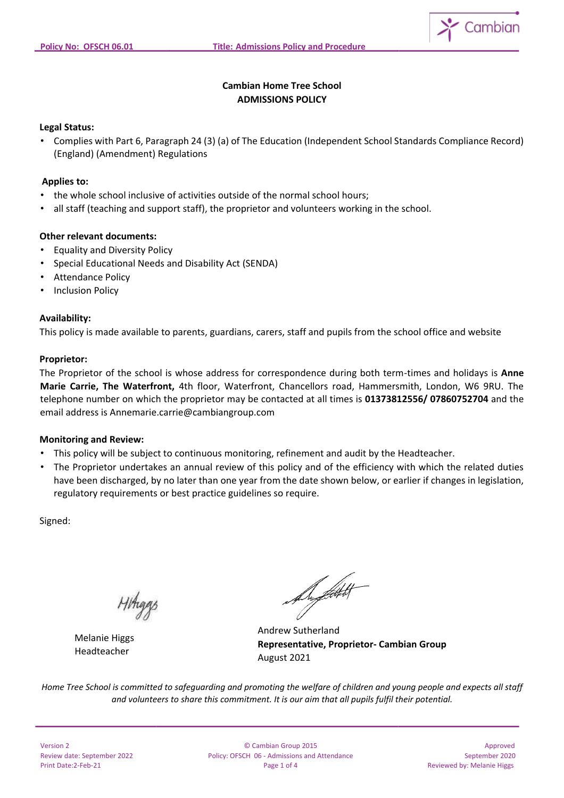

# **Cambian Home Tree School ADMISSIONS POLICY**

#### **Legal Status:**

• Complies with Part 6, Paragraph 24 (3) (a) of The Education (Independent School Standards Compliance Record) (England) (Amendment) Regulations

# **Applies to:**

- the whole school inclusive of activities outside of the normal school hours;
- all staff (teaching and support staff), the proprietor and volunteers working in the school.

## **Other relevant documents:**

- Equality and Diversity Policy
- Special Educational Needs and Disability Act (SENDA)
- Attendance Policy
- Inclusion Policy

## **Availability:**

This policy is made available to parents, guardians, carers, staff and pupils from the school office and website

#### **Proprietor:**

The Proprietor of the school is whose address for correspondence during both term-times and holidays is **Anne Marie Carrie, The Waterfront,** 4th floor, Waterfront, Chancellors road, Hammersmith, London, W6 9RU. The telephone number on which the proprietor may be contacted at all times is **01373812556/ 07860752704** and the email address is Annemarie.carrie@cambiangroup.com

#### **Monitoring and Review:**

- This policy will be subject to continuous monitoring, refinement and audit by the Headteacher.
- The Proprietor undertakes an annual review of this policy and of the efficiency with which the related duties have been discharged, by no later than one year from the date shown below, or earlier if changes in legislation, regulatory requirements or best practice guidelines so require.

Signed:

Melanie Higgs Headteacher

Dyffett H

Andrew Sutherland **Representative, Proprietor- Cambian Group** August 2021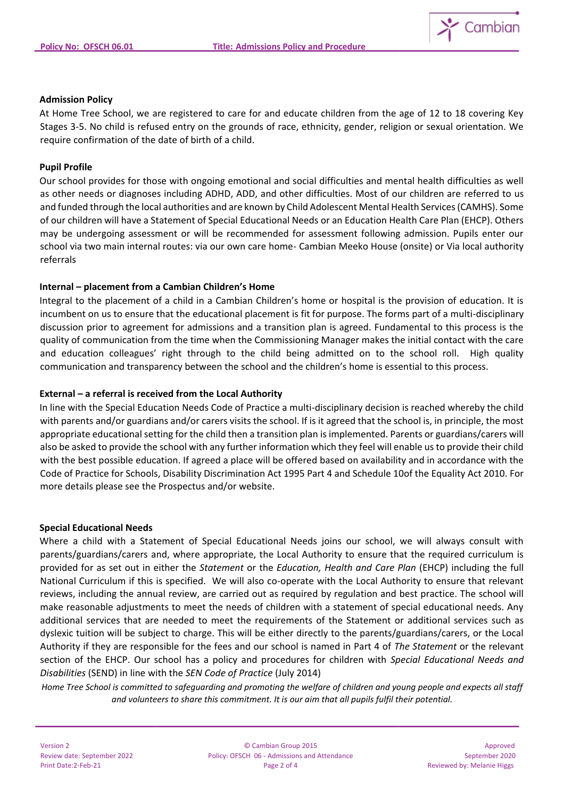

#### **Admission Policy**

At Home Tree School, we are registered to care for and educate children from the age of 12 to 18 covering Key Stages 3-5. No child is refused entry on the grounds of race, ethnicity, gender, religion or sexual orientation. We require confirmation of the date of birth of a child.

#### **Pupil Profile**

Our school provides for those with ongoing emotional and social difficulties and mental health difficulties as well as other needs or diagnoses including ADHD, ADD, and other difficulties. Most of our children are referred to us and funded through the local authorities and are known by Child Adolescent Mental Health Services (CAMHS). Some of our children will have a Statement of Special Educational Needs or an Education Health Care Plan (EHCP). Others may be undergoing assessment or will be recommended for assessment following admission. Pupils enter our school via two main internal routes: via our own care home- Cambian Meeko House (onsite) or Via local authority referrals

## **Internal – placement from a Cambian Children's Home**

Integral to the placement of a child in a Cambian Children's home or hospital is the provision of education. It is incumbent on us to ensure that the educational placement is fit for purpose. The forms part of a multi-disciplinary discussion prior to agreement for admissions and a transition plan is agreed. Fundamental to this process is the quality of communication from the time when the Commissioning Manager makes the initial contact with the care and education colleagues' right through to the child being admitted on to the school roll. High quality communication and transparency between the school and the children's home is essential to this process.

#### **External – a referral is received from the Local Authority**

In line with the Special Education Needs Code of Practice a multi-disciplinary decision is reached whereby the child with parents and/or guardians and/or carers visits the school. If is it agreed that the school is, in principle, the most appropriate educational setting for the child then a transition plan is implemented. Parents or guardians/carers will also be asked to provide the school with any further information which they feel will enable us to provide their child with the best possible education. If agreed a place will be offered based on availability and in accordance with the Code of Practice for Schools, Disability Discrimination Act 1995 Part 4 and Schedule 10of the Equality Act 2010. For more details please see the Prospectus and/or website.

#### **Special Educational Needs**

Where a child with a Statement of Special Educational Needs joins our school, we will always consult with parents/guardians/carers and, where appropriate, the Local Authority to ensure that the required curriculum is provided for as set out in either the *Statement* or the *Education, Health and Care Plan* (EHCP) including the full National Curriculum if this is specified. We will also co-operate with the Local Authority to ensure that relevant reviews, including the annual review, are carried out as required by regulation and best practice. The school will make reasonable adjustments to meet the needs of children with a statement of special educational needs. Any additional services that are needed to meet the requirements of the Statement or additional services such as dyslexic tuition will be subject to charge. This will be either directly to the parents/guardians/carers, or the Local Authority if they are responsible for the fees and our school is named in Part 4 of *The Statement* or the relevant section of the EHCP. Our school has a policy and procedures for children with *Special Educational Needs and Disabilities* (SEND) in line with the *SEN Code of Practice* (July 2014)

| <b>Version 2</b>            |
|-----------------------------|
| Review date: September 2022 |
| Print Date: 2-Feb-21        |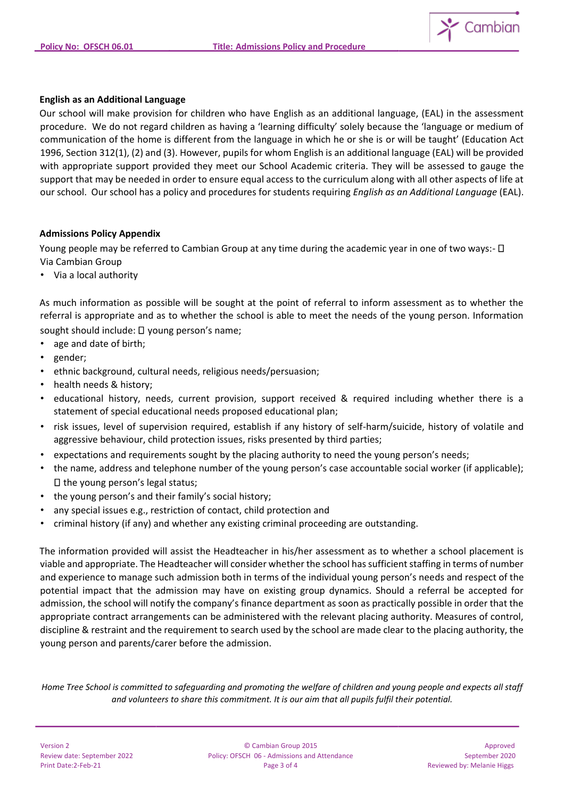

## **English as an Additional Language**

Our school will make provision for children who have English as an additional language, (EAL) in the assessment procedure. We do not regard children as having a 'learning difficulty' solely because the 'language or medium of communication of the home is different from the language in which he or she is or will be taught' (Education Act 1996, Section 312(1), (2) and (3). However, pupils for whom English is an additional language (EAL) will be provided with appropriate support provided they meet our School Academic criteria. They will be assessed to gauge the support that may be needed in order to ensure equal access to the curriculum along with all other aspects of life at our school. Our school has a policy and procedures for students requiring *English as an Additional Language* (EAL).

## **Admissions Policy Appendix**

Young people may be referred to Cambian Group at any time during the academic year in one of two ways:-  $\Box$ Via Cambian Group

• Via a local authority

As much information as possible will be sought at the point of referral to inform assessment as to whether the referral is appropriate and as to whether the school is able to meet the needs of the young person. Information

sought should include:  $\square$  young person's name;

- age and date of birth;
- gender;
- ethnic background, cultural needs, religious needs/persuasion;
- health needs & history;
- educational history, needs, current provision, support received & required including whether there is a statement of special educational needs proposed educational plan;
- risk issues, level of supervision required, establish if any history of self-harm/suicide, history of volatile and aggressive behaviour, child protection issues, risks presented by third parties;
- expectations and requirements sought by the placing authority to need the young person's needs;
- the name, address and telephone number of the young person's case accountable social worker (if applicable);  $\square$  the young person's legal status;
- the young person's and their family's social history;
- any special issues e.g., restriction of contact, child protection and
- criminal history (if any) and whether any existing criminal proceeding are outstanding.

The information provided will assist the Headteacher in his/her assessment as to whether a school placement is viable and appropriate. The Headteacher will consider whether the school has sufficient staffing in terms of number and experience to manage such admission both in terms of the individual young person's needs and respect of the potential impact that the admission may have on existing group dynamics. Should a referral be accepted for admission, the school will notify the company's finance department as soon as practically possible in order that the appropriate contract arrangements can be administered with the relevant placing authority. Measures of control, discipline & restraint and the requirement to search used by the school are made clear to the placing authority, the young person and parents/carer before the admission.